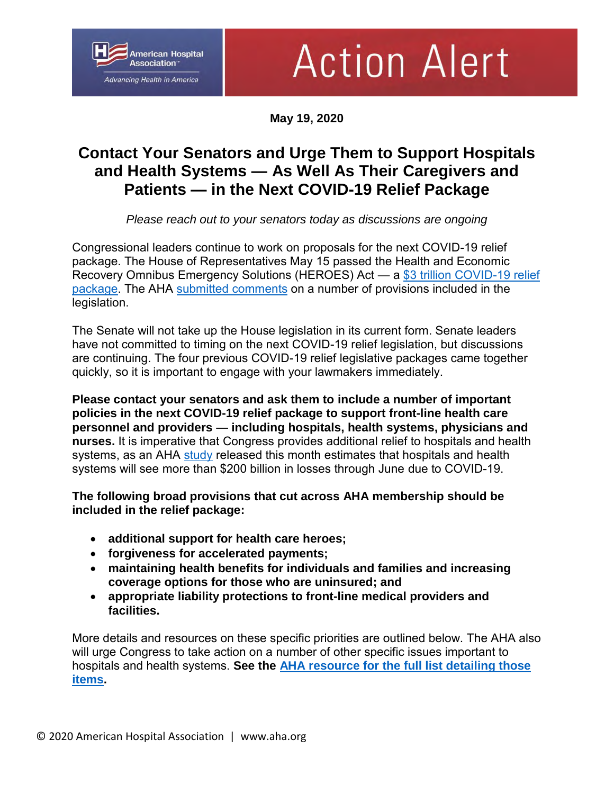

## **Action Alert**

**May 19, 2020**

## **Contact Your Senators and Urge Them to Support Hospitals and Health Systems — As Well As Their Caregivers and Patients — in the Next COVID-19 Relief Package**

*Please reach out to your senators today as discussions are ongoing*

Congressional leaders continue to work on proposals for the next COVID-19 relief package. The House of Representatives May 15 passed the Health and Economic Recovery Omnibus Emergency Solutions (HEROES) Act — a [\\$3 trillion COVID-19 relief](https://www.aha.org/special-bulletin/2020-05-12-special-bulletin-house-democrats-unveil-3-trillion-covid-19-relief)  [package.](https://www.aha.org/special-bulletin/2020-05-12-special-bulletin-house-democrats-unveil-3-trillion-covid-19-relief) The AHA [submitted comments](https://www.aha.org/lettercomment/2020-05-14-aha-comments-provisions-house-democrats-covid-19-relief-bill) on a number of provisions included in the legislation.

The Senate will not take up the House legislation in its current form. Senate leaders have not committed to timing on the next COVID-19 relief legislation, but discussions are continuing. The four previous COVID-19 relief legislative packages came together quickly, so it is important to engage with your lawmakers immediately.

**Please contact your senators and ask them to include a number of important policies in the next COVID-19 relief package to support front-line health care personnel and providers** — **including hospitals, health systems, physicians and nurses.** It is imperative that Congress provides additional relief to hospitals and health systems, as an AHA [study](https://www.aha.org/press-releases/2020-05-05-new-aha-report-finds-financial-impact-covid-19-hospitals-health-systems) released this month estimates that hospitals and health systems will see more than \$200 billion in losses through June due to COVID-19.

**The following broad provisions that cut across AHA membership should be included in the relief package:** 

- **additional support for health care heroes;**
- **forgiveness for accelerated payments;**
- **maintaining health benefits for individuals and families and increasing coverage options for those who are uninsured; and**
- **appropriate liability protections to front-line medical providers and facilities.**

More details and resources on these specific priorities are outlined below. The AHA also will urge Congress to take action on a number of other specific issues important to hospitals and health systems. **See the [AHA resource for the full list detailing those](https://www.aha.org/resources/2020-05-01-additional-actions-needed-next-covid-19-relief-package-support-hospitals-and)  [items.](https://www.aha.org/resources/2020-05-01-additional-actions-needed-next-covid-19-relief-package-support-hospitals-and)**